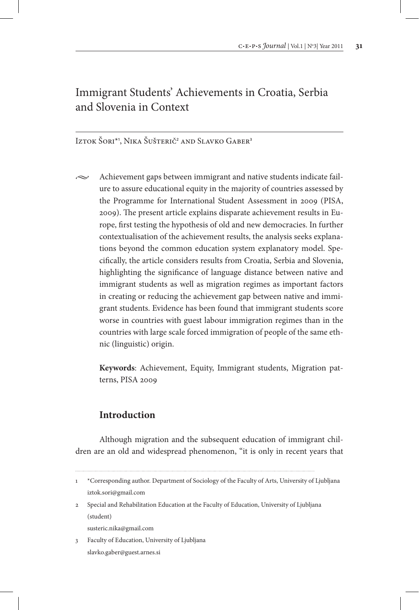# Immigrant Students' Achievements in Croatia, Serbia and Slovenia in Context

Iztok Šori\*', Nika Šušterič<sup>2</sup> and Slavko Gaber<sup>3</sup>

 $\sim$  Achievement gaps between immigrant and native students indicate failure to assure educational equity in the majority of countries assessed by the Programme for International Student Assessment in 2009 (PISA, 2009). The present article explains disparate achievement results in Europe, first testing the hypothesis of old and new democracies. In further contextualisation of the achievement results, the analysis seeks explanations beyond the common education system explanatory model. Specifically, the article considers results from Croatia, Serbia and Slovenia, highlighting the significance of language distance between native and immigrant students as well as migration regimes as important factors in creating or reducing the achievement gap between native and immigrant students. Evidence has been found that immigrant students score worse in countries with guest labour immigration regimes than in the countries with large scale forced immigration of people of the same ethnic (linguistic) origin.

**Keywords**: Achievement, Equity, Immigrant students, Migration patterns, PISA 2009

### **Introduction**

Although migration and the subsequent education of immigrant children are an old and widespread phenomenon, "it is only in recent years that

susteric.nika@gmail.com

3 Faculty of Education, University of Ljubljana slavko.gaber@guest.arnes.si

<sup>1</sup> \*Corresponding author. Department of Sociology of the Faculty of Arts, University of Ljubljana

iztok.sori@gmail.com

<sup>2</sup> Special and Rehabilitation Education at the Faculty of Education, University of Ljubljana (student)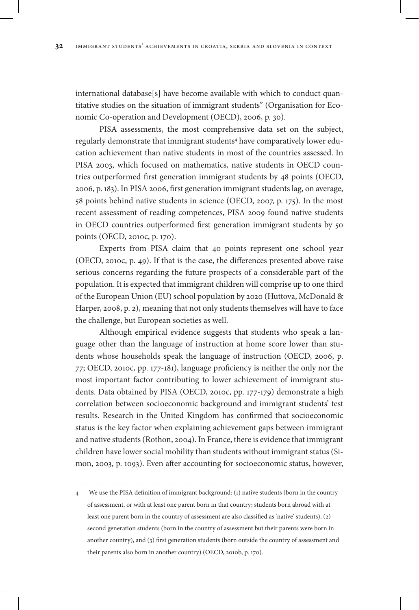international database[s] have become available with which to conduct quantitative studies on the situation of immigrant students" (Organisation for Economic Co-operation and Development (OECD), 2006, p. 30).

PISA assessments, the most comprehensive data set on the subject, regularly demonstrate that immigrant students<sup>4</sup> have comparatively lower education achievement than native students in most of the countries assessed. In PISA 2003, which focused on mathematics, native students in OECD countries outperformed first generation immigrant students by 48 points (OECD, 2006, p. 183). In PISA 2006, first generation immigrant students lag, on average, 58 points behind native students in science (OECD, 2007, p. 175). In the most recent assessment of reading competences, PISA 2009 found native students in OECD countries outperformed first generation immigrant students by 50 points (OECD, 2010c, p. 170).

Experts from PISA claim that 40 points represent one school year (OECD, 2010c, p. 49). If that is the case, the differences presented above raise serious concerns regarding the future prospects of a considerable part of the population. It is expected that immigrant children will comprise up to one third of the European Union (EU) school population by 2020 (Huttova, McDonald & Harper, 2008, p. 2), meaning that not only students themselves will have to face the challenge, but European societies as well.

Although empirical evidence suggests that students who speak a language other than the language of instruction at home score lower than students whose households speak the language of instruction (OECD, 2006, p. 77; OECD, 2010c, pp. 177-181), language proficiency is neither the only nor the most important factor contributing to lower achievement of immigrant students. Data obtained by PISA (OECD, 2010c, pp. 177-179) demonstrate a high correlation between socioeconomic background and immigrant students' test results. Research in the United Kingdom has confirmed that socioeconomic status is the key factor when explaining achievement gaps between immigrant and native students (Rothon, 2004). In France, there is evidence that immigrant children have lower social mobility than students without immigrant status (Simon, 2003, p. 1093). Even after accounting for socioeconomic status, however,

<sup>4</sup> We use the PISA definition of immigrant background: (1) native students (born in the country of assessment, or with at least one parent born in that country; students born abroad with at least one parent born in the country of assessment are also classified as 'native' students), (2) second generation students (born in the country of assessment but their parents were born in another country), and (3) first generation students (born outside the country of assessment and their parents also born in another country) (OECD, 2010b, p. 170).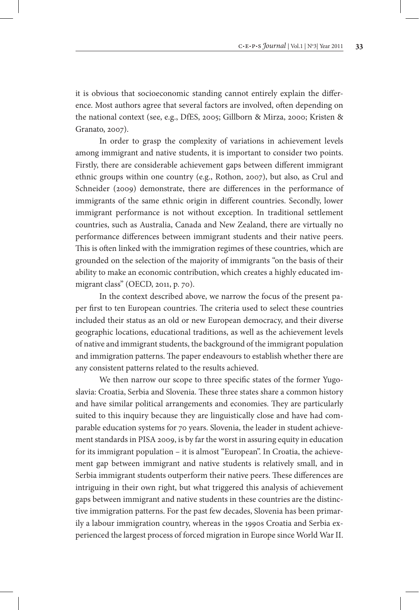it is obvious that socioeconomic standing cannot entirely explain the difference. Most authors agree that several factors are involved, often depending on the national context (see, e.g., DfES, 2005; Gillborn & Mirza, 2000; Kristen & Granato, 2007).

In order to grasp the complexity of variations in achievement levels among immigrant and native students, it is important to consider two points. Firstly, there are considerable achievement gaps between different immigrant ethnic groups within one country (e.g., Rothon, 2007), but also, as Crul and Schneider (2009) demonstrate, there are differences in the performance of immigrants of the same ethnic origin in different countries. Secondly, lower immigrant performance is not without exception. In traditional settlement countries, such as Australia, Canada and New Zealand, there are virtually no performance differences between immigrant students and their native peers. This is often linked with the immigration regimes of these countries, which are grounded on the selection of the majority of immigrants "on the basis of their ability to make an economic contribution, which creates a highly educated immigrant class" (OECD, 2011, p. 70).

In the context described above, we narrow the focus of the present paper first to ten European countries. The criteria used to select these countries included their status as an old or new European democracy, and their diverse geographic locations, educational traditions, as well as the achievement levels of native and immigrant students, the background of the immigrant population and immigration patterns. The paper endeavours to establish whether there are any consistent patterns related to the results achieved.

We then narrow our scope to three specific states of the former Yugoslavia: Croatia, Serbia and Slovenia. These three states share a common history and have similar political arrangements and economies. They are particularly suited to this inquiry because they are linguistically close and have had comparable education systems for 70 years. Slovenia, the leader in student achievement standards in PISA 2009, is by far the worst in assuring equity in education for its immigrant population – it is almost "European". In Croatia, the achievement gap between immigrant and native students is relatively small, and in Serbia immigrant students outperform their native peers. These differences are intriguing in their own right, but what triggered this analysis of achievement gaps between immigrant and native students in these countries are the distinctive immigration patterns. For the past few decades, Slovenia has been primarily a labour immigration country, whereas in the 1990s Croatia and Serbia experienced the largest process of forced migration in Europe since World War II.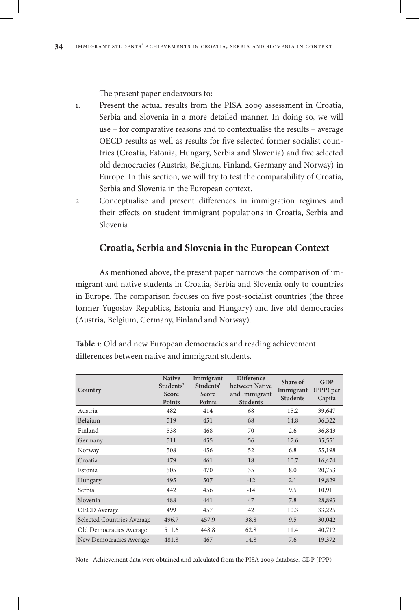The present paper endeavours to:

- 1. Present the actual results from the PISA 2009 assessment in Croatia, Serbia and Slovenia in a more detailed manner. In doing so, we will use – for comparative reasons and to contextualise the results – average OECD results as well as results for five selected former socialist countries (Croatia, Estonia, Hungary, Serbia and Slovenia) and five selected old democracies (Austria, Belgium, Finland, Germany and Norway) in Europe. In this section, we will try to test the comparability of Croatia, Serbia and Slovenia in the European context.
- 2. Conceptualise and present differences in immigration regimes and their effects on student immigrant populations in Croatia, Serbia and Slovenia.

### **Croatia, Serbia and Slovenia in the European Context**

As mentioned above, the present paper narrows the comparison of immigrant and native students in Croatia, Serbia and Slovenia only to countries in Europe. The comparison focuses on five post-socialist countries (the three former Yugoslav Republics, Estonia and Hungary) and five old democracies (Austria, Belgium, Germany, Finland and Norway).

| Country                    | <b>Native</b><br>Students'<br>Score<br>Points | Immigrant<br>Students'<br>Score<br>Points | Difference<br>between Native<br>and Immigrant<br><b>Students</b> | Share of<br>Immigrant<br><b>Students</b> | <b>GDP</b><br>$(PPP)$ per<br>Capita |
|----------------------------|-----------------------------------------------|-------------------------------------------|------------------------------------------------------------------|------------------------------------------|-------------------------------------|
| Austria                    | 482                                           | 414                                       | 68                                                               | 15.2                                     | 39,647                              |
| Belgium                    | 519                                           | 451                                       | 68                                                               | 14.8                                     | 36,322                              |
| Finland                    | 538                                           | 468                                       | 70                                                               | 2.6                                      | 36,843                              |
| Germany                    | 511                                           | 455                                       | 56                                                               | 17.6                                     | 35,551                              |
| Norway                     | 508                                           | 456                                       | 52                                                               | 6.8                                      | 55,198                              |
| Croatia                    | 479                                           | 461                                       | 18                                                               | 10.7                                     | 16,474                              |
| Estonia                    | 505                                           | 470                                       | 35                                                               | 8.0                                      | 20,753                              |
| Hungary                    | 495                                           | 507                                       | $-12$                                                            | 2.1                                      | 19,829                              |
| Serbia                     | 442                                           | 456                                       | $-14$                                                            | 9.5                                      | 10,911                              |
| Slovenia                   | 488                                           | 441                                       | 47                                                               | 7.8                                      | 28,893                              |
| <b>OECD</b> Average        | 499                                           | 457                                       | 42                                                               | 10.3                                     | 33,225                              |
| Selected Countries Average | 496.7                                         | 457.9                                     | 38.8                                                             | 9.5                                      | 30,042                              |
| Old Democracies Average    | 511.6                                         | 448.8                                     | 62.8                                                             | 11.4                                     | 40,712                              |
| New Democracies Average    | 481.8                                         | 467                                       | 14.8                                                             | 7.6                                      | 19,372                              |

**Table 1**: Old and new European democracies and reading achievement differences between native and immigrant students.

Note: Achievement data were obtained and calculated from the PISA 2009 database. GDP (PPP)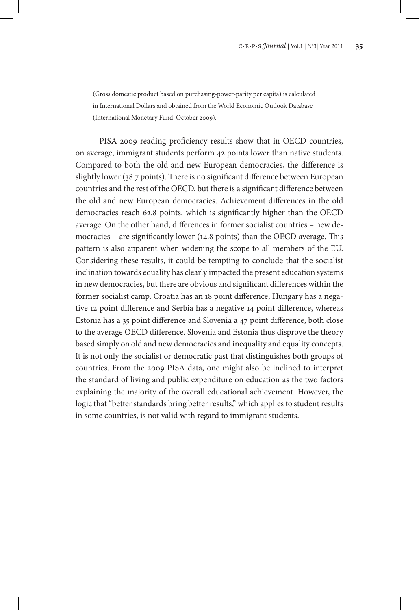(Gross domestic product based on purchasing-power-parity per capita) is calculated in International Dollars and obtained from the World Economic Outlook Database (International Monetary Fund, October 2009).

PISA 2009 reading proficiency results show that in OECD countries, on average, immigrant students perform 42 points lower than native students. Compared to both the old and new European democracies, the difference is slightly lower (38.7 points). There is no significant difference between European countries and the rest of the OECD, but there is a significant difference between the old and new European democracies. Achievement differences in the old democracies reach 62.8 points, which is significantly higher than the OECD average. On the other hand, differences in former socialist countries – new democracies – are significantly lower (14.8 points) than the OECD average. This pattern is also apparent when widening the scope to all members of the EU. Considering these results, it could be tempting to conclude that the socialist inclination towards equality has clearly impacted the present education systems in new democracies, but there are obvious and significant differences within the former socialist camp. Croatia has an 18 point difference, Hungary has a negative 12 point difference and Serbia has a negative 14 point difference, whereas Estonia has a 35 point difference and Slovenia a 47 point difference, both close to the average OECD difference. Slovenia and Estonia thus disprove the theory based simply on old and new democracies and inequality and equality concepts. It is not only the socialist or democratic past that distinguishes both groups of countries. From the 2009 PISA data, one might also be inclined to interpret the standard of living and public expenditure on education as the two factors explaining the majority of the overall educational achievement. However, the logic that "better standards bring better results," which applies to student results in some countries, is not valid with regard to immigrant students.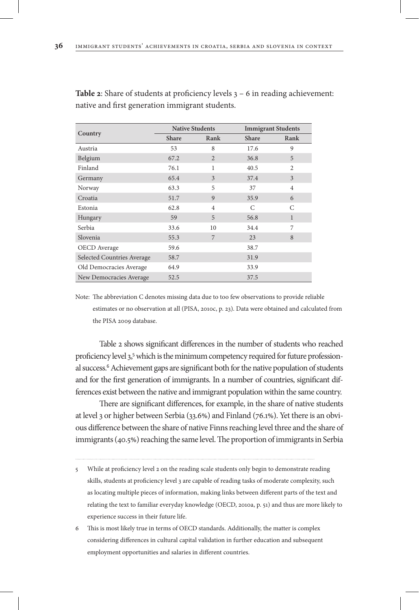|                            |       | <b>Native Students</b> |       | <b>Immigrant Students</b> |  |  |
|----------------------------|-------|------------------------|-------|---------------------------|--|--|
| Country                    | Share | Rank                   | Share | Rank                      |  |  |
| Austria                    | 53    | 8                      | 17.6  | 9                         |  |  |
| Belgium                    | 67.2  | $\overline{2}$         | 36.8  | 5                         |  |  |
| Finland                    | 76.1  | 1                      | 40.5  | $\overline{c}$            |  |  |
| Germany                    | 65.4  | 3                      | 37.4  | 3                         |  |  |
| Norway                     | 63.3  | 5                      | 37    | $\overline{4}$            |  |  |
| Croatia                    | 51.7  | 9                      | 35.9  | 6                         |  |  |
| Estonia                    | 62.8  | $\overline{4}$         | C     | C                         |  |  |
| Hungary                    | 59    | 5                      | 56.8  | $\mathbf{1}$              |  |  |
| Serbia                     | 33.6  | 10                     | 34.4  | 7                         |  |  |
| Slovenia                   | 55.3  | 7                      | 23    | 8                         |  |  |
| OECD Average               | 59.6  |                        | 38.7  |                           |  |  |
| Selected Countries Average | 58.7  |                        | 31.9  |                           |  |  |
| Old Democracies Average    | 64.9  |                        | 33.9  |                           |  |  |
| New Democracies Average    | 52.5  |                        | 37.5  |                           |  |  |

**Table 2**: Share of students at proficiency levels 3 – 6 in reading achievement: native and first generation immigrant students.

Note: The abbreviation C denotes missing data due to too few observations to provide reliable estimates or no observation at all (PISA, 2010c, p. 23). Data were obtained and calculated from the PISA 2009 database.

Table 2 shows significant differences in the number of students who reached proficiency level 3,<sup>5</sup> which is the minimum competency required for future professional success.<sup>6</sup> Achievement gaps are significant both for the native population of students and for the first generation of immigrants. In a number of countries, significant differences exist between the native and immigrant population within the same country.

There are significant differences, for example, in the share of native students at level 3 or higher between Serbia (33.6%) and Finland (76.1%). Yet there is an obvious difference between the share of native Finns reaching level three and the share of immigrants (40.5%) reaching the same level. The proportion of immigrants in Serbia

6 This is most likely true in terms of OECD standards. Additionally, the matter is complex considering differences in cultural capital validation in further education and subsequent employment opportunities and salaries in different countries.

<sup>5</sup> While at proficiency level 2 on the reading scale students only begin to demonstrate reading skills, students at proficiency level 3 are capable of reading tasks of moderate complexity, such as locating multiple pieces of information, making links between different parts of the text and relating the text to familiar everyday knowledge (OECD, 2010a, p. 51) and thus are more likely to experience success in their future life.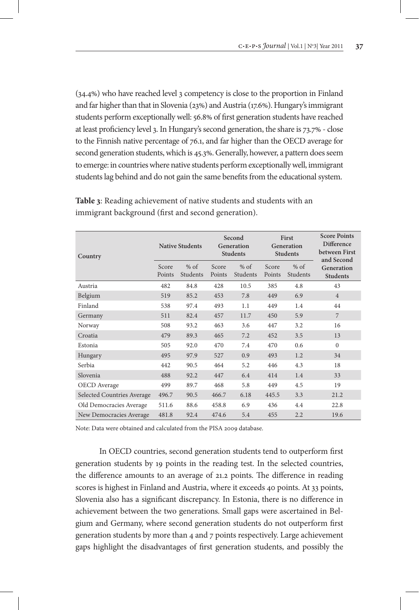(34.4%) who have reached level 3 competency is close to the proportion in Finland and far higher than that in Slovenia (23%) and Austria (17.6%). Hungary's immigrant students perform exceptionally well: 56.8% of first generation students have reached at least proficiency level 3. In Hungary's second generation, the share is 73.7% - close to the Finnish native percentage of 76.1, and far higher than the OECD average for second generation students, which is 45.3%. Generally, however, a pattern does seem to emerge: in countries where native students perform exceptionally well, immigrant students lag behind and do not gain the same benefits from the educational system.

| Country                    | <b>Native Students</b> |                    | Second<br>Generation<br><b>Students</b> |                    | First<br>Generation<br><b>Students</b> |                    | <b>Score Points</b><br>Difference<br>between First<br>and Second |  |
|----------------------------|------------------------|--------------------|-----------------------------------------|--------------------|----------------------------------------|--------------------|------------------------------------------------------------------|--|
|                            | Score<br>Points        | $%$ of<br>Students | Score<br>Points                         | $%$ of<br>Students | Score<br>Points                        | $%$ of<br>Students | Generation<br><b>Students</b>                                    |  |
| Austria                    | 482                    | 84.8               | 428                                     | 10.5               | 385                                    | 4.8                | 43                                                               |  |
| Belgium                    | 519                    | 85.2               | 453                                     | 7.8                | 449                                    | 6.9                | $\overline{4}$                                                   |  |
| Finland                    | 538                    | 97.4               | 493                                     | 1.1                | 449                                    | 1.4                | 44                                                               |  |
| Germany                    | 511                    | 82.4               | 457                                     | 11.7               | 450                                    | 5.9                | $\overline{7}$                                                   |  |
| Norway                     | 508                    | 93.2               | 463                                     | 3.6                | 447                                    | 3.2                | 16                                                               |  |
| Croatia                    | 479                    | 89.3               | 465                                     | 7.2                | 452                                    | 3.5                | 13                                                               |  |
| Estonia                    | 505                    | 92.0               | 470                                     | 7.4                | 470                                    | 0.6                | $\mathbf{0}$                                                     |  |
| Hungary                    | 495                    | 97.9               | 527                                     | 0.9                | 493                                    | 1.2                | 34                                                               |  |
| Serbia                     | 442                    | 90.5               | 464                                     | 5.2                | 446                                    | 4.3                | 18                                                               |  |
| Slovenia                   | 488                    | 92.2               | 447                                     | 6.4                | 414                                    | 1.4                | 33                                                               |  |
| <b>OECD</b> Average        | 499                    | 89.7               | 468                                     | 5.8                | 449                                    | 4.5                | 19                                                               |  |
| Selected Countries Average | 496.7                  | 90.5               | 466.7                                   | 6.18               | 445.5                                  | 3.3                | 21.2                                                             |  |
| Old Democracies Average    | 511.6                  | 88.6               | 458.8                                   | 6.9                | 436                                    | 4.4                | 22.8                                                             |  |
| New Democracies Average    | 481.8                  | 92.4               | 474.6                                   | 5.4                | 455                                    | 2.2                | 19.6                                                             |  |

**Table 3**: Reading achievement of native students and students with an immigrant background (first and second generation).

Note: Data were obtained and calculated from the PISA 2009 database.

In OECD countries, second generation students tend to outperform first generation students by 19 points in the reading test. In the selected countries, the difference amounts to an average of 21.2 points. The difference in reading scores is highest in Finland and Austria, where it exceeds 40 points. At 33 points, Slovenia also has a significant discrepancy. In Estonia, there is no difference in achievement between the two generations. Small gaps were ascertained in Belgium and Germany, where second generation students do not outperform first generation students by more than 4 and 7 points respectively. Large achievement gaps highlight the disadvantages of first generation students, and possibly the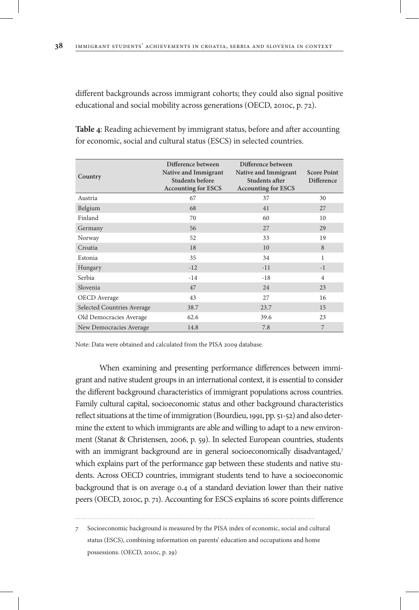different backgrounds across immigrant cohorts; they could also signal positive educational and social mobility across generations (OECD, 2010c, p. 72).

**Table 4**: Reading achievement by immigrant status, before and after accounting for economic, social and cultural status (ESCS) in selected countries.

| Country                    | Difference between<br>Native and Immigrant<br><b>Students before</b><br><b>Accounting for ESCS</b> | Difference between<br>Native and Immigrant<br>Students after<br><b>Accounting for ESCS</b> | <b>Score Point</b><br>Difference |
|----------------------------|----------------------------------------------------------------------------------------------------|--------------------------------------------------------------------------------------------|----------------------------------|
| Austria                    | 67                                                                                                 | 37                                                                                         | 30                               |
| Belgium                    | 68                                                                                                 | 41                                                                                         | 27                               |
| Finland                    | 70                                                                                                 | 60                                                                                         | 10                               |
| Germany                    | 56                                                                                                 | 27                                                                                         | 29                               |
| Norway                     | 52                                                                                                 | 33                                                                                         | 19                               |
| Croatia                    | 18                                                                                                 | 10                                                                                         | 8                                |
| Estonia                    | 35                                                                                                 | 34                                                                                         | 1                                |
| Hungary                    | $-12$                                                                                              | $-11$                                                                                      | $-1$                             |
| Serbia                     | $-14$                                                                                              | $-18$                                                                                      | 4                                |
| Slovenia                   | 47                                                                                                 | 24                                                                                         | 23                               |
| <b>OECD</b> Average        | 43                                                                                                 | 27                                                                                         | 16                               |
| Selected Countries Average | 38.7                                                                                               | 23.7                                                                                       | 15                               |
| Old Democracies Average    | 62.6                                                                                               | 39.6                                                                                       | 23                               |
| New Democracies Average    | 14.8                                                                                               | 7.8                                                                                        | 7                                |

Note: Data were obtained and calculated from the PISA 2009 database.

When examining and presenting performance differences between immigrant and native student groups in an international context, it is essential to consider the different background characteristics of immigrant populations across countries. Family cultural capital, socioeconomic status and other background characteristics reflect situations at the time of immigration (Bourdieu, 1991, pp. 51-52) and also determine the extent to which immigrants are able and willing to adapt to a new environment (Stanat & Christensen, 2006, p. 59). In selected European countries, students with an immigrant background are in general socioeconomically disadvantaged,<sup>7</sup> which explains part of the performance gap between these students and native students. Across OECD countries, immigrant students tend to have a socioeconomic background that is on average 0.4 of a standard deviation lower than their native peers (OECD, 2010c, p. 71). Accounting for ESCS explains 16 score points difference

<sup>7</sup> Socioeconomic background is measured by the PISA index of economic, social and cultural status (ESCS), combining information on parents' education and occupations and home possessions. (OECD, 2010c, p. 29)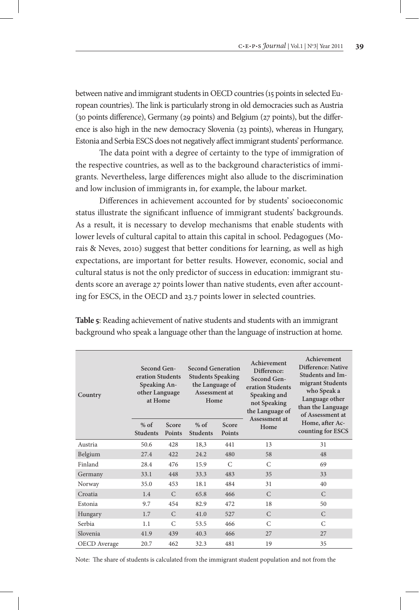between native and immigrant students in OECD countries (15 points in selected European countries). The link is particularly strong in old democracies such as Austria (30 points difference), Germany (29 points) and Belgium (27 points), but the difference is also high in the new democracy Slovenia (23 points), whereas in Hungary, Estonia and Serbia ESCS does not negatively affect immigrant students' performance.

The data point with a degree of certainty to the type of immigration of the respective countries, as well as to the background characteristics of immigrants. Nevertheless, large differences might also allude to the discrimination and low inclusion of immigrants in, for example, the labour market.

Differences in achievement accounted for by students' socioeconomic status illustrate the significant influence of immigrant students' backgrounds. As a result, it is necessary to develop mechanisms that enable students with lower levels of cultural capital to attain this capital in school. Pedagogues (Morais & Neves, 2010) suggest that better conditions for learning, as well as high expectations, are important for better results. However, economic, social and cultural status is not the only predictor of success in education: immigrant students score an average 27 points lower than native students, even after accounting for ESCS, in the OECD and 23.7 points lower in selected countries.

| Country             | Second Gen-<br>eration Students<br>Speaking An-<br>other Language<br>at Home |                 | <b>Second Generation</b><br><b>Students Speaking</b><br>the Language of<br>Assessment at<br>Home |                 | Achievement<br>Difference:<br>Second Gen-<br>eration Students<br>Speaking and<br>not Speaking<br>the Language of<br>Assessment at | Achievement<br>Difference: Native<br>Students and Im-<br>migrant Students<br>who Speak a<br>Language other<br>than the Language<br>of Assessment at |  |
|---------------------|------------------------------------------------------------------------------|-----------------|--------------------------------------------------------------------------------------------------|-----------------|-----------------------------------------------------------------------------------------------------------------------------------|-----------------------------------------------------------------------------------------------------------------------------------------------------|--|
|                     | $%$ of<br><b>Students</b>                                                    | Score<br>Points | $%$ of<br><b>Students</b>                                                                        | Score<br>Points | Home                                                                                                                              | Home, after Ac-<br>counting for ESCS                                                                                                                |  |
| Austria             | 50.6                                                                         | 428             | 18,3                                                                                             | 441             | 13                                                                                                                                | 31                                                                                                                                                  |  |
| Belgium             | 27.4                                                                         | 422             | 24.2                                                                                             | 480             | 58                                                                                                                                | 48                                                                                                                                                  |  |
| Finland             | 28.4                                                                         | 476             | 15.9                                                                                             | $\mathcal{C}$   | C                                                                                                                                 | 69                                                                                                                                                  |  |
| Germany             | 33.1                                                                         | 448             | 33.3                                                                                             | 483             | 35                                                                                                                                | 33                                                                                                                                                  |  |
| Norway              | 35.0                                                                         | 453             | 18.1                                                                                             | 484             | 31                                                                                                                                | 40                                                                                                                                                  |  |
| Croatia             | 1.4                                                                          | $\mathsf{C}$    | 65.8                                                                                             | 466             | $\mathcal{C}$                                                                                                                     | $\mathcal{C}$                                                                                                                                       |  |
| Estonia             | 9.7                                                                          | 454             | 82.9                                                                                             | 472             | 18                                                                                                                                | 50                                                                                                                                                  |  |
| Hungary             | 1.7                                                                          | $\mathcal{C}$   | 41.0                                                                                             | 527             | $\mathcal{C}$                                                                                                                     | C                                                                                                                                                   |  |
| Serbia              | 1.1                                                                          | C               | 53.5                                                                                             | 466             | C                                                                                                                                 | $\mathcal{C}$                                                                                                                                       |  |
| Slovenia            | 41.9                                                                         | 439             | 40.3                                                                                             | 466             | 27                                                                                                                                | 27                                                                                                                                                  |  |
| <b>OECD</b> Average | 20.7                                                                         | 462             | 32.3                                                                                             | 481             | 19                                                                                                                                | 35                                                                                                                                                  |  |

**Table 5**: Reading achievement of native students and students with an immigrant background who speak a language other than the language of instruction at home.

Note: The share of students is calculated from the immigrant student population and not from the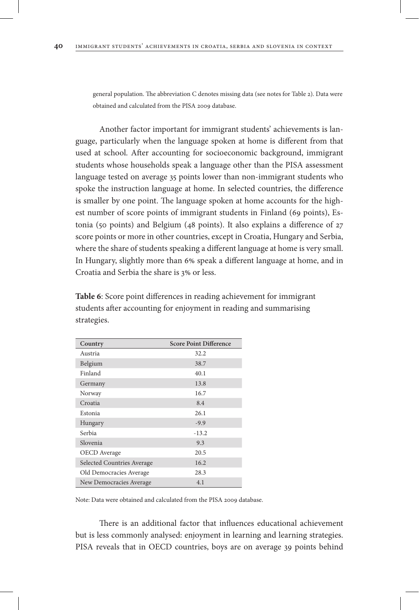general population. The abbreviation C denotes missing data (see notes for Table 2). Data were obtained and calculated from the PISA 2009 database.

Another factor important for immigrant students' achievements is language, particularly when the language spoken at home is different from that used at school. After accounting for socioeconomic background, immigrant students whose households speak a language other than the PISA assessment language tested on average 35 points lower than non-immigrant students who spoke the instruction language at home. In selected countries, the difference is smaller by one point. The language spoken at home accounts for the highest number of score points of immigrant students in Finland (69 points), Estonia (50 points) and Belgium (48 points). It also explains a difference of 27 score points or more in other countries, except in Croatia, Hungary and Serbia, where the share of students speaking a different language at home is very small. In Hungary, slightly more than 6% speak a different language at home, and in Croatia and Serbia the share is 3% or less.

**Table 6**: Score point differences in reading achievement for immigrant students after accounting for enjoyment in reading and summarising strategies.

| Country                    | <b>Score Point Difference</b> |
|----------------------------|-------------------------------|
| Austria                    | 32.2                          |
| Belgium                    | 38.7                          |
| Finland                    | 40.1                          |
| Germany                    | 13.8                          |
| Norway                     | 16.7                          |
| Croatia                    | 8.4                           |
| Estonia                    | 26.1                          |
| Hungary                    | $-9.9$                        |
| Serbia                     | $-13.2$                       |
| Slovenia                   | 9.3                           |
| <b>OECD</b> Average        | 20.5                          |
| Selected Countries Average | 16.2                          |
| Old Democracies Average    | 28.3                          |
| New Democracies Average    | 4.1                           |

Note: Data were obtained and calculated from the PISA 2009 database.

There is an additional factor that influences educational achievement but is less commonly analysed: enjoyment in learning and learning strategies. PISA reveals that in OECD countries, boys are on average 39 points behind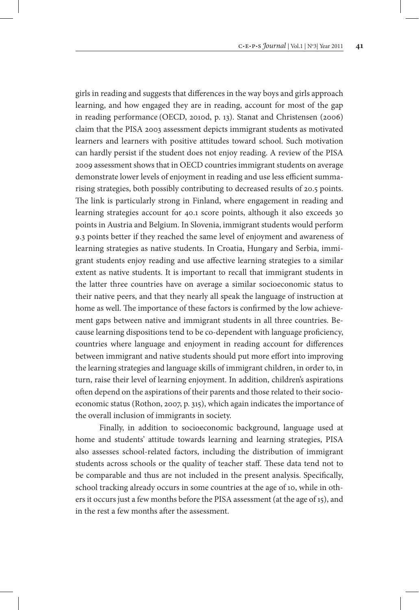girls in reading and suggests that differences in the way boys and girls approach learning, and how engaged they are in reading, account for most of the gap in reading performance (OECD, 2010d, p. 13). Stanat and Christensen (2006) claim that the PISA 2003 assessment depicts immigrant students as motivated learners and learners with positive attitudes toward school. Such motivation can hardly persist if the student does not enjoy reading. A review of the PISA 2009 assessment shows that in OECD countries immigrant students on average demonstrate lower levels of enjoyment in reading and use less efficient summarising strategies, both possibly contributing to decreased results of 20.5 points. The link is particularly strong in Finland, where engagement in reading and learning strategies account for 40.1 score points, although it also exceeds 30 points in Austria and Belgium. In Slovenia, immigrant students would perform 9.3 points better if they reached the same level of enjoyment and awareness of learning strategies as native students. In Croatia, Hungary and Serbia, immigrant students enjoy reading and use affective learning strategies to a similar extent as native students. It is important to recall that immigrant students in the latter three countries have on average a similar socioeconomic status to their native peers, and that they nearly all speak the language of instruction at home as well. The importance of these factors is confirmed by the low achievement gaps between native and immigrant students in all three countries. Because learning dispositions tend to be co-dependent with language proficiency, countries where language and enjoyment in reading account for differences between immigrant and native students should put more effort into improving the learning strategies and language skills of immigrant children, in order to, in turn, raise their level of learning enjoyment. In addition, children's aspirations often depend on the aspirations of their parents and those related to their socioeconomic status (Rothon, 2007, p. 315), which again indicates the importance of the overall inclusion of immigrants in society.

Finally, in addition to socioeconomic background, language used at home and students' attitude towards learning and learning strategies, PISA also assesses school-related factors, including the distribution of immigrant students across schools or the quality of teacher staff. These data tend not to be comparable and thus are not included in the present analysis. Specifically, school tracking already occurs in some countries at the age of 10, while in others it occurs just a few months before the PISA assessment (at the age of 15), and in the rest a few months after the assessment.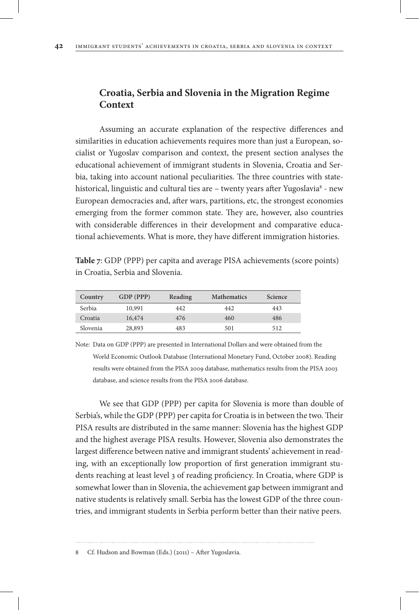# **Croatia, Serbia and Slovenia in the Migration Regime Context**

Assuming an accurate explanation of the respective differences and similarities in education achievements requires more than just a European, socialist or Yugoslav comparison and context, the present section analyses the educational achievement of immigrant students in Slovenia, Croatia and Serbia, taking into account national peculiarities. The three countries with statehistorical, linguistic and cultural ties are – twenty years after Yugoslavia<sup>8</sup> - new European democracies and, after wars, partitions, etc, the strongest economies emerging from the former common state. They are, however, also countries with considerable differences in their development and comparative educational achievements. What is more, they have different immigration histories.

**Table 7**: GDP (PPP) per capita and average PISA achievements (score points) in Croatia, Serbia and Slovenia.

| Country  | GDP (PPP) | Reading | <b>Mathematics</b> | <b>Science</b> |
|----------|-----------|---------|--------------------|----------------|
| Serbia   | 10,991    | 442     | 442                | 443            |
| Croatia  | 16,474    | 476     | 460                | 486            |
| Slovenia | 28,893    | 483     | 501                | 512            |

Note: Data on GDP (PPP) are presented in International Dollars and were obtained from the World Economic Outlook Database (International Monetary Fund, October 2008). Reading results were obtained from the PISA 2009 database, mathematics results from the PISA 2003 database, and science results from the PISA 2006 database.

We see that GDP (PPP) per capita for Slovenia is more than double of Serbia's, while the GDP (PPP) per capita for Croatia is in between the two. Their PISA results are distributed in the same manner: Slovenia has the highest GDP and the highest average PISA results. However, Slovenia also demonstrates the largest difference between native and immigrant students' achievement in reading, with an exceptionally low proportion of first generation immigrant students reaching at least level 3 of reading proficiency. In Croatia, where GDP is somewhat lower than in Slovenia, the achievement gap between immigrant and native students is relatively small. Serbia has the lowest GDP of the three countries, and immigrant students in Serbia perform better than their native peers.

8 Cf. Hudson and Bowman (Eds.) (2011) – After Yugoslavia.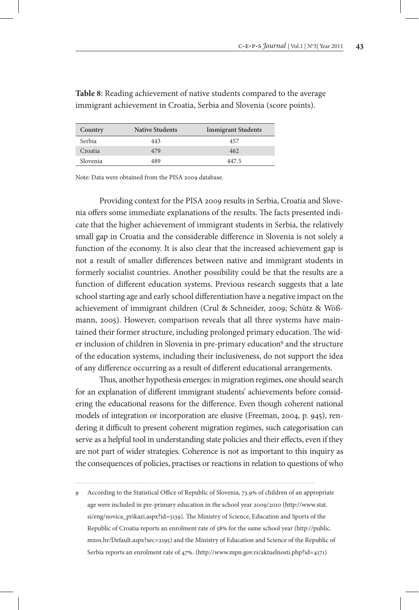| Country  | <b>Native Students</b> | <b>Immigrant Students</b> |
|----------|------------------------|---------------------------|
| Serbia   | 443                    | 457                       |
| Croatia  | 479                    | 462                       |
| Slovenia | 489                    | 447.5                     |

**Table 8**: Reading achievement of native students compared to the average immigrant achievement in Croatia, Serbia and Slovenia (score points).

Note: Data were obtained from the PISA 2009 database.

Providing context for the PISA 2009 results in Serbia, Croatia and Slovenia offers some immediate explanations of the results. The facts presented indicate that the higher achievement of immigrant students in Serbia, the relatively small gap in Croatia and the considerable difference in Slovenia is not solely a function of the economy. It is also clear that the increased achievement gap is not a result of smaller differences between native and immigrant students in formerly socialist countries. Another possibility could be that the results are a function of different education systems. Previous research suggests that a late school starting age and early school differentiation have a negative impact on the achievement of immigrant children (Crul & Schneider, 2009; Schütz & Wößmann, 2005). However, comparison reveals that all three systems have maintained their former structure, including prolonged primary education. The wider inclusion of children in Slovenia in pre-primary education<sup>9</sup> and the structure of the education systems, including their inclusiveness, do not support the idea of any difference occurring as a result of different educational arrangements.

Thus, another hypothesis emerges: in migration regimes, one should search for an explanation of different immigrant students' achievements before considering the educational reasons for the difference. Even though coherent national models of integration or incorporation are elusive (Freeman, 2004, p. 945), rendering it difficult to present coherent migration regimes, such categorisation can serve as a helpful tool in understanding state policies and their effects, even if they are not part of wider strategies. Coherence is not as important to this inquiry as the consequences of policies, practises or reactions in relation to questions of who

<sup>9</sup> According to the Statistical Office of Republic of Slovenia, 73.9% of children of an appropriate age were included in pre-primary education in the school year 2009/2010 (http://www.stat. si/eng/novica\_prikazi.aspx?id=3139). The Ministry of Science, Education and Sports of the Republic of Croatia reports an enrolment rate of 58% for the same school year (http://public. mzos.hr/Default.aspx?sec=2195) and the Ministry of Education and Science of the Republic of Serbia reports an enrolment rate of 47%. (http://www.mpn.gov.rs/aktuelnosti.php?id=4171)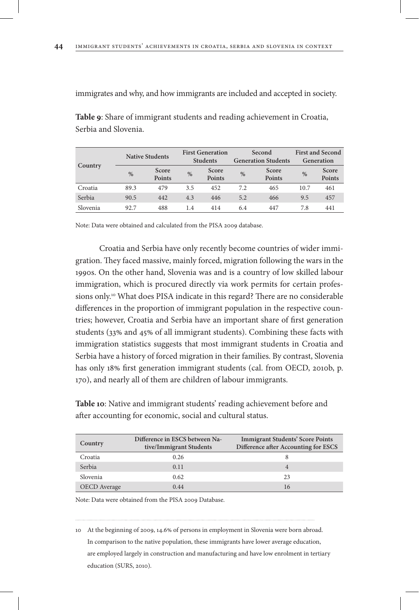immigrates and why, and how immigrants are included and accepted in society.

**Table 9**: Share of immigrant students and reading achievement in Croatia, Serbia and Slovenia.

|          |      | <b>Native Students</b> | <b>First Generation</b><br><b>Students</b> |                 | Second<br><b>Generation Students</b> |                 | <b>First and Second</b><br>Generation |                 |
|----------|------|------------------------|--------------------------------------------|-----------------|--------------------------------------|-----------------|---------------------------------------|-----------------|
| Country  | %    | Score<br>Points        | %                                          | Score<br>Points | $\%$                                 | Score<br>Points | %                                     | Score<br>Points |
| Croatia  | 89.3 | 479                    | 3.5                                        | 452             | 7.2                                  | 465             | 10.7                                  | 461             |
| Serbia   | 90.5 | 442                    | 4.3                                        | 446             | 5.2                                  | 466             | 9.5                                   | 457             |
| Slovenia | 92.7 | 488                    | 1.4                                        | 414             | 6.4                                  | 447             | 7.8                                   | 441             |

Note: Data were obtained and calculated from the PISA 2009 database.

Croatia and Serbia have only recently become countries of wider immigration. They faced massive, mainly forced, migration following the wars in the 1990s. On the other hand, Slovenia was and is a country of low skilled labour immigration, which is procured directly via work permits for certain professions only.<sup>10</sup> What does PISA indicate in this regard? There are no considerable differences in the proportion of immigrant population in the respective countries; however, Croatia and Serbia have an important share of first generation students (33% and 45% of all immigrant students). Combining these facts with immigration statistics suggests that most immigrant students in Croatia and Serbia have a history of forced migration in their families. By contrast, Slovenia has only 18% first generation immigrant students (cal. from OECD, 2010b, p. 170), and nearly all of them are children of labour immigrants.

**Table 10**: Native and immigrant students' reading achievement before and after accounting for economic, social and cultural status.

| Country             | Difference in ESCS between Na-<br>tive/Immigrant Students | <b>Immigrant Students' Score Points</b><br>Difference after Accounting for ESCS |
|---------------------|-----------------------------------------------------------|---------------------------------------------------------------------------------|
| Croatia             | 0.26                                                      |                                                                                 |
| Serbia              | 0.11                                                      |                                                                                 |
| Slovenia            | 0.62                                                      | 23                                                                              |
| <b>OECD</b> Average | 0.44                                                      | 16                                                                              |

Note: Data were obtained from the PISA 2009 Database.

10 At the beginning of 2009, 14.6% of persons in employment in Slovenia were born abroad. In comparison to the native population, these immigrants have lower average education, are employed largely in construction and manufacturing and have low enrolment in tertiary education (SURS, 2010).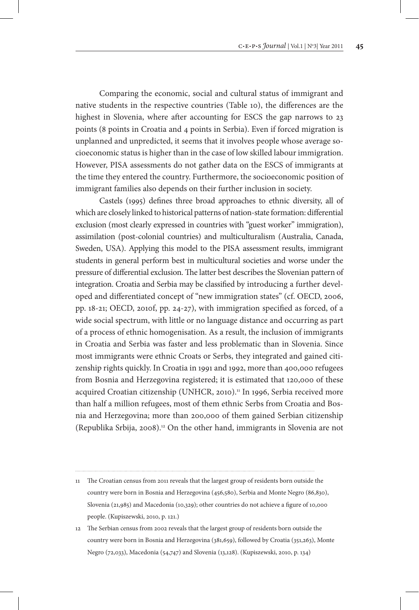Comparing the economic, social and cultural status of immigrant and native students in the respective countries (Table 10), the differences are the highest in Slovenia, where after accounting for ESCS the gap narrows to 23 points (8 points in Croatia and 4 points in Serbia). Even if forced migration is unplanned and unpredicted, it seems that it involves people whose average socioeconomic status is higher than in the case of low skilled labour immigration. However, PISA assessments do not gather data on the ESCS of immigrants at the time they entered the country. Furthermore, the socioeconomic position of immigrant families also depends on their further inclusion in society.

Castels (1995) defines three broad approaches to ethnic diversity, all of which are closely linked to historical patterns of nation-state formation: differential exclusion (most clearly expressed in countries with "guest worker" immigration), assimilation (post-colonial countries) and multiculturalism (Australia, Canada, Sweden, USA). Applying this model to the PISA assessment results, immigrant students in general perform best in multicultural societies and worse under the pressure of differential exclusion. The latter best describes the Slovenian pattern of integration. Croatia and Serbia may be classified by introducing a further developed and differentiated concept of "new immigration states" (cf. OECD, 2006, pp. 18-21; OECD, 2010f, pp. 24-27), with immigration specified as forced, of a wide social spectrum, with little or no language distance and occurring as part of a process of ethnic homogenisation. As a result, the inclusion of immigrants in Croatia and Serbia was faster and less problematic than in Slovenia. Since most immigrants were ethnic Croats or Serbs, they integrated and gained citizenship rights quickly. In Croatia in 1991 and 1992, more than 400,000 refugees from Bosnia and Herzegovina registered; it is estimated that 120,000 of these acquired Croatian citizenship (UNHCR, 2010).<sup>11</sup> In 1996, Serbia received more than half a million refugees, most of them ethnic Serbs from Croatia and Bosnia and Herzegovina; more than 200,000 of them gained Serbian citizenship (Republika Srbija, 2008).12 On the other hand, immigrants in Slovenia are not

<sup>11</sup> The Croatian census from 2011 reveals that the largest group of residents born outside the country were born in Bosnia and Herzegovina (456,580), Serbia and Monte Negro (86,830), Slovenia (21,985) and Macedonia (10,329); other countries do not achieve a figure of 10,000 people. (Kupiszewski, 2010, p. 121.)

<sup>12</sup> The Serbian census from 2002 reveals that the largest group of residents born outside the country were born in Bosnia and Herzegovina (381,659), followed by Croatia (351,263), Monte Negro (72,033), Macedonia (54,747) and Slovenia (13,128). (Kupiszewski, 2010, p. 134)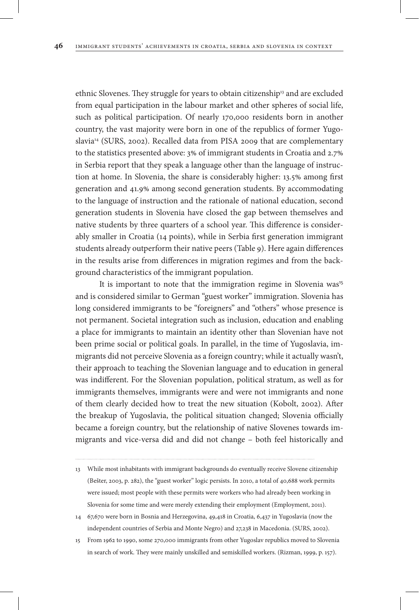ethnic Slovenes. They struggle for years to obtain citizenship<sup>13</sup> and are excluded from equal participation in the labour market and other spheres of social life, such as political participation. Of nearly 170,000 residents born in another country, the vast majority were born in one of the republics of former Yugoslavia<sup>14</sup> (SURS, 2002). Recalled data from PISA 2009 that are complementary to the statistics presented above: 3% of immigrant students in Croatia and 2.7% in Serbia report that they speak a language other than the language of instruction at home. In Slovenia, the share is considerably higher: 13.5% among first generation and 41.9% among second generation students. By accommodating to the language of instruction and the rationale of national education, second generation students in Slovenia have closed the gap between themselves and native students by three quarters of a school year. This difference is considerably smaller in Croatia (14 points), while in Serbia first generation immigrant students already outperform their native peers (Table 9). Here again differences in the results arise from differences in migration regimes and from the background characteristics of the immigrant population.

It is important to note that the immigration regime in Slovenia was<sup>15</sup> and is considered similar to German "guest worker" immigration. Slovenia has long considered immigrants to be "foreigners" and "others" whose presence is not permanent. Societal integration such as inclusion, education and enabling a place for immigrants to maintain an identity other than Slovenian have not been prime social or political goals. In parallel, in the time of Yugoslavia, immigrants did not perceive Slovenia as a foreign country; while it actually wasn't, their approach to teaching the Slovenian language and to education in general was indifferent. For the Slovenian population, political stratum, as well as for immigrants themselves, immigrants were and were not immigrants and none of them clearly decided how to treat the new situation (Kobolt, 2002). After the breakup of Yugoslavia, the political situation changed; Slovenia officially became a foreign country, but the relationship of native Slovenes towards immigrants and vice-versa did and did not change – both feel historically and

- 14 67,670 were born in Bosnia and Herzegovina, 49,418 in Croatia, 6,437 in Yugoslavia (now the independent countries of Serbia and Monte Negro) and 27,238 in Macedonia. (SURS, 2002).
- 15 From 1962 to 1990, some 270,000 immigrants from other Yugoslav republics moved to Slovenia in search of work. They were mainly unskilled and semiskilled workers. (Rizman, 1999, p. 157).

<sup>13</sup> While most inhabitants with immigrant backgrounds do eventually receive Slovene citizenship (Bešter, 2003, p. 282), the "guest worker" logic persists. In 2010, a total of 40,688 work permits were issued; most people with these permits were workers who had already been working in Slovenia for some time and were merely extending their employment (Employment, 2011).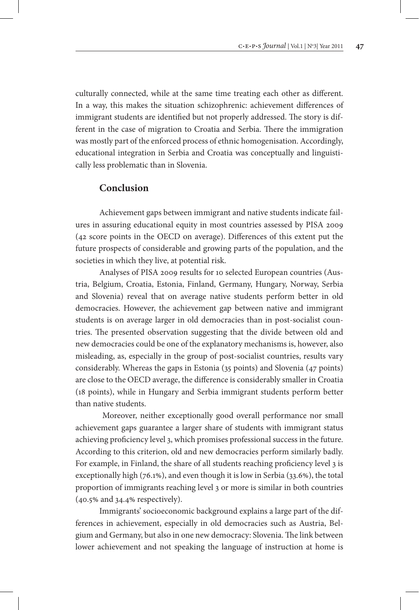culturally connected, while at the same time treating each other as different. In a way, this makes the situation schizophrenic: achievement differences of immigrant students are identified but not properly addressed. The story is different in the case of migration to Croatia and Serbia. There the immigration was mostly part of the enforced process of ethnic homogenisation. Accordingly, educational integration in Serbia and Croatia was conceptually and linguistically less problematic than in Slovenia.

#### **Conclusion**

Achievement gaps between immigrant and native students indicate failures in assuring educational equity in most countries assessed by PISA 2009 (42 score points in the OECD on average). Differences of this extent put the future prospects of considerable and growing parts of the population, and the societies in which they live, at potential risk.

Analyses of PISA 2009 results for 10 selected European countries (Austria, Belgium, Croatia, Estonia, Finland, Germany, Hungary, Norway, Serbia and Slovenia) reveal that on average native students perform better in old democracies. However, the achievement gap between native and immigrant students is on average larger in old democracies than in post-socialist countries. The presented observation suggesting that the divide between old and new democracies could be one of the explanatory mechanisms is, however, also misleading, as, especially in the group of post-socialist countries, results vary considerably. Whereas the gaps in Estonia (35 points) and Slovenia (47 points) are close to the OECD average, the difference is considerably smaller in Croatia (18 points), while in Hungary and Serbia immigrant students perform better than native students.

 Moreover, neither exceptionally good overall performance nor small achievement gaps guarantee a larger share of students with immigrant status achieving proficiency level 3, which promises professional success in the future. According to this criterion, old and new democracies perform similarly badly. For example, in Finland, the share of all students reaching proficiency level 3 is exceptionally high (76.1%), and even though it is low in Serbia (33.6%), the total proportion of immigrants reaching level 3 or more is similar in both countries (40.5% and 34.4% respectively).

Immigrants' socioeconomic background explains a large part of the differences in achievement, especially in old democracies such as Austria, Belgium and Germany, but also in one new democracy: Slovenia. The link between lower achievement and not speaking the language of instruction at home is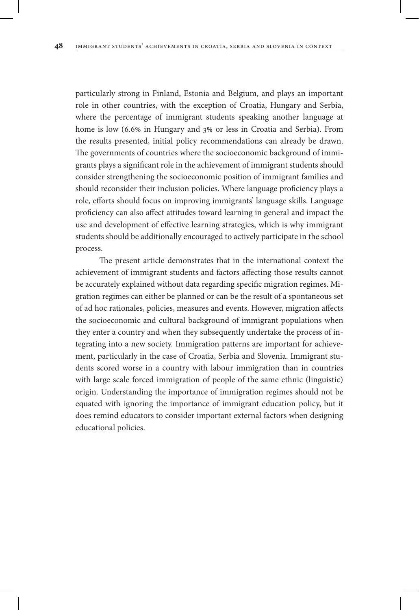particularly strong in Finland, Estonia and Belgium, and plays an important role in other countries, with the exception of Croatia, Hungary and Serbia, where the percentage of immigrant students speaking another language at home is low (6.6% in Hungary and 3% or less in Croatia and Serbia). From the results presented, initial policy recommendations can already be drawn. The governments of countries where the socioeconomic background of immigrants plays a significant role in the achievement of immigrant students should consider strengthening the socioeconomic position of immigrant families and should reconsider their inclusion policies. Where language proficiency plays a role, efforts should focus on improving immigrants' language skills. Language proficiency can also affect attitudes toward learning in general and impact the use and development of effective learning strategies, which is why immigrant students should be additionally encouraged to actively participate in the school process.

The present article demonstrates that in the international context the achievement of immigrant students and factors affecting those results cannot be accurately explained without data regarding specific migration regimes. Migration regimes can either be planned or can be the result of a spontaneous set of ad hoc rationales, policies, measures and events. However, migration affects the socioeconomic and cultural background of immigrant populations when they enter a country and when they subsequently undertake the process of integrating into a new society. Immigration patterns are important for achievement, particularly in the case of Croatia, Serbia and Slovenia. Immigrant students scored worse in a country with labour immigration than in countries with large scale forced immigration of people of the same ethnic (linguistic) origin. Understanding the importance of immigration regimes should not be equated with ignoring the importance of immigrant education policy, but it does remind educators to consider important external factors when designing educational policies.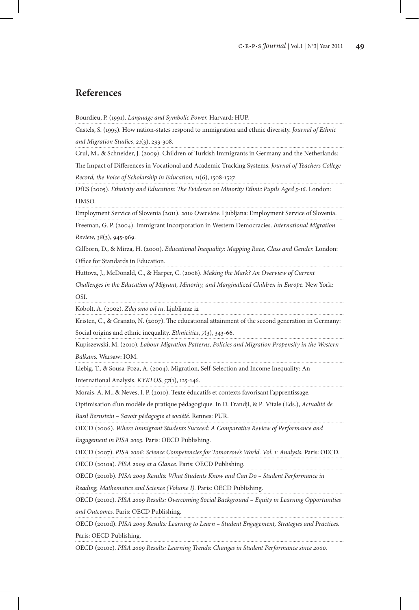### **References**

Bourdieu, P. (1991). *Language and Symbolic Power.* Harvard: HUP.

Castels, S. (1995). How nation-states respond to immigration and ethnic diversity. *Journal of Ethnic and Migration Studies*, *21*(3), 293-308.

Crul, M., & Schneider, J. (2009). Children of Turkish Immigrants in Germany and the Netherlands:

The Impact of Differences in Vocational and Academic Tracking Systems. *Journal of Teachers College Record, the Voice of Scholarship in Education, 11*(6), 1508-1527.

DfES (2005). *Ethnicity and Education: The Evidence on Minority Ethnic Pupils Aged 5-16*. London: HMSO.

Employment Service of Slovenia (2011). *2010 Overview.* Ljubljana: Employment Service of Slovenia.

Freeman, G. P. (2004). Immigrant Incorporation in Western Democracies. *International Migration Review*, *38*(3), 945-969.

Gillborn, D., & Mirza, H. (2000). *Educational Inequality: Mapping Race, Class and Gender.* London: Office for Standards in Education.

Huttova, J., McDonald, C., & Harper, C. (2008). *Making the Mark? An Overview of Current* 

*Challenges in the Education of Migrant, Minority, and Marginalized Children in Europe.* New York: OSI.

Kobolt, A. (2002). *Zdej smo od tu*. Ljubljana: i2

Kristen, C., & Granato, N. (2007). The educational attainment of the second generation in Germany: Social origins and ethnic inequality. *Ethnicities*, *7*(3), 343-66.

Kupiszewski, M. (2010). *Labour Migration Patterns, Policies and Migration Propensity in the Western Balkans.* Warsaw: IOM.

Liebig, T., & Sousa-Poza, A. (2004). Migration, Self-Selection and Income Inequality: An

International Analysis. *KYKLOS*, *57*(1), 125-146.

Morais, A. M., & Neves, I. P. (2010). Texte éducatifs et contexts favorisant l'apprentissage.

Optimisation d'un modèle de pratique pédagogique. In D. Frandji, & P*.* Vitale (Eds.), *Actualité de Basil Bernstein – Savoir pédagogie et société.* Rennes: PUR.

OECD (2006). *Where Immigrant Students Succeed: A Comparative Review of Performance and Engagement in PISA 2003.* Paris: OECD Publishing.

OECD (2007). *PISA 2006: Science Competencies for Tomorrow's World. Vol. 1: Analysis.* Paris: OECD. OECD (2010a). *PISA 2009 at a Glance.* Paris: OECD Publishing.

OECD (2010b). *PISA 2009 Results: What Students Know and Can Do – Student Performance in Reading, Mathematics and Science (Volume I).* Paris: OECD Publishing.

OECD (2010c). *PISA 2009 Results: Overcoming Social Background – Equity in Learning Opportunities and Outcomes.* Paris: OECD Publishing.

OECD (2010d). *PISA 2009 Results: Learning to Learn – Student Engagement, Strategies and Practices.* Paris: OECD Publishing.

OECD (2010e). *PISA 2009 Results: Learning Trends: Changes in Student Performance since 2000.*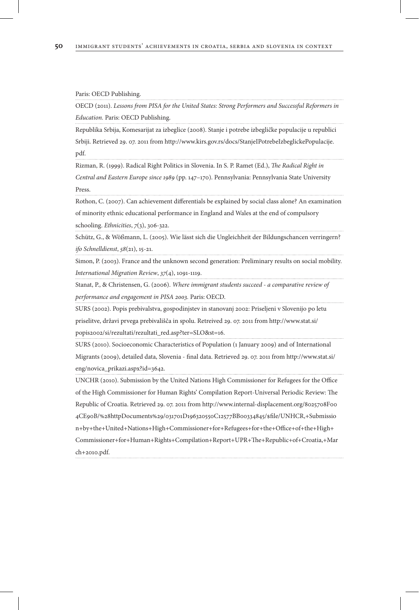Paris: OECD Publishing.

OECD (2011). *Lessons from PISA for the United States: Strong Performers and Successful Reformers in Education.* Paris: OECD Publishing.

Republika Srbija, Komesarijat za izbeglice (2008). Stanje i potrebe izbegličke populacije u republici Srbiji. Retrieved 29. 07. 2011 from http://www.kirs.gov.rs/docs/StanjeIPotrebeIzbeglickePopulacije. pdf.

Rizman, R. (1999). Radical Right Politics in Slovenia. In S. P. Ramet (Ed.), *The Radical Right in* 

*Central and Eastern Europe since 1989* (pp. 147–170). Pennsylvania: Pennsylvania State University Press.

Rothon, C. (2007). Can achievement differentials be explained by social class alone? An examination

of minority ethnic educational performance in England and Wales at the end of compulsory

schooling. *Ethnicities*, *7*(3), 306-322.

Schütz, G., & Wößmann, L. (2005). Wie lässt sich die Ungleichheit der Bildungschancen verringern? *ifo Schnelldienst*, *58*(21), 15-21.

Simon, P. (2003). France and the unknown second generation: Preliminary results on social mobility. *International Migration Review*, *37*(4), 1091-1119.

Stanat, P., & Christensen, G. (2006). *Where immigrant students succeed - a comparative review of performance and engagement in PISA 2003.* Paris: OECD.

SURS (2002). Popis prebivalstva, gospodinjstev in stanovanj 2002: Priseljeni v Slovenijo po letu priselitve, državi prvega prebivališča in spolu. Retreived 29. 07. 2011 from http://www.stat.si/

popis2002/si/rezultati/rezultati\_red.asp?ter=SLO&st=16.

SURS (2010). Socioeconomic Characteristics of Population (1 January 2009) and of International Migrants (2009), detailed data, Slovenia - final data. Retrieved 29. 07. 2011 from http://www.stat.si/ eng/novica\_prikazi.aspx?id=3642.

UNCHR (2010). Submission by the United Nations High Commissioner for Refugees for the Office of the High Commissioner for Human Rights' Compilation Report-Universal Periodic Review: The Republic of Croatia. Retrieved 29. 07. 2011 from http://www.internal-displacement.org/8025708F00 4CE90B/%28httpDocuments%29/031701D196320550C12577BB00334845/\$file/UNHCR,+Submissio n+by+the+United+Nations+High+Commissioner+for+Refugees+for+the+Office+of+the+High+ Commissioner+for+Human+Rights+Compilation+Report+UPR+The+Republic+of+Croatia,+Mar ch+2010.pdf.